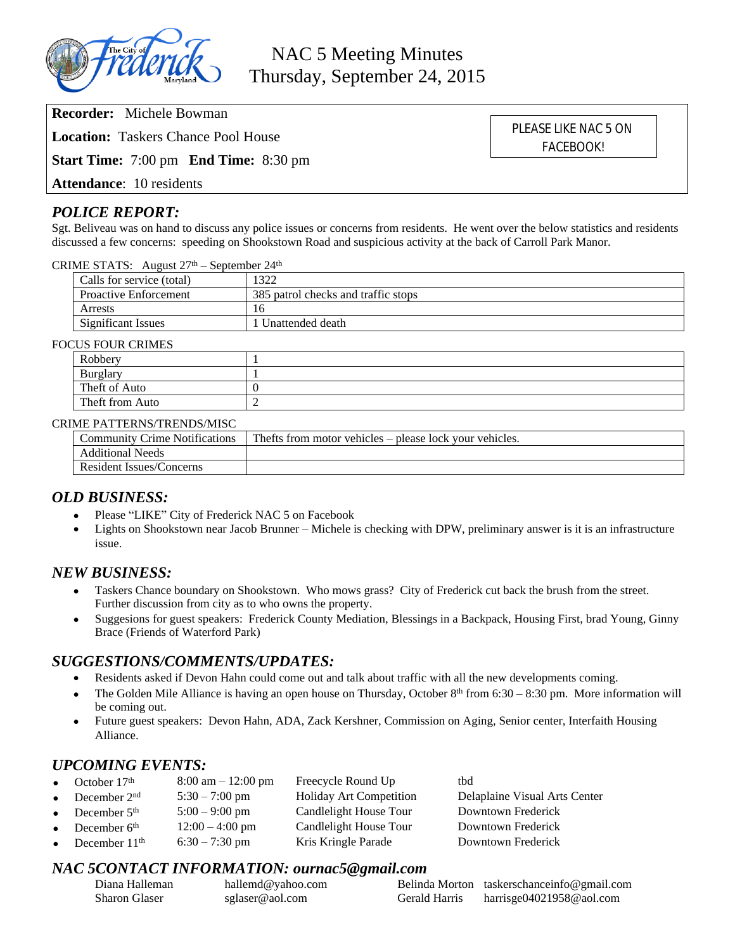

NAC 5 Meeting Minutes Thursday, September 24, 2015

**Recorder:** Michele Bowman

**Location:** Taskers Chance Pool House

**Start Time:** 7:00 pm **End Time:** 8:30 pm

**Attendance**: 10 residents

## *POLICE REPORT:*

Sgt. Beliveau was on hand to discuss any police issues or concerns from residents. He went over the below statistics and residents discussed a few concerns: speeding on Shookstown Road and suspicious activity at the back of Carroll Park Manor.

CRIME STATS: August  $27<sup>th</sup>$  – September  $24<sup>th</sup>$ 

| Calls for service (total)    | 322                                 |  |
|------------------------------|-------------------------------------|--|
| <b>Proactive Enforcement</b> | 385 patrol checks and traffic stops |  |
| Arrests                      | 16                                  |  |
| <b>Significant Issues</b>    | Unattended death                    |  |

#### FOCUS FOUR CRIMES

| 2011011111110   |  |  |  |  |
|-----------------|--|--|--|--|
| Robbery         |  |  |  |  |
| Burglary        |  |  |  |  |
| Theft of Auto   |  |  |  |  |
| Theft from Auto |  |  |  |  |

#### CRIME PATTERNS/TRENDS/MISC

| Community Crime Notifications | The fts from motor vehicles – please lock your vehicles. |
|-------------------------------|----------------------------------------------------------|
| <b>Additional Needs</b>       |                                                          |
| Resident Issues/Concerns      |                                                          |

## *OLD BUSINESS:*

- Please "LIKE" City of Frederick NAC 5 on Facebook
- Lights on Shookstown near Jacob Brunner Michele is checking with DPW, preliminary answer is it is an infrastructure issue.

## *NEW BUSINESS:*

- Taskers Chance boundary on Shookstown. Who mows grass? City of Frederick cut back the brush from the street. Further discussion from city as to who owns the property.
- Suggesions for guest speakers: Frederick County Mediation, Blessings in a Backpack, Housing First, brad Young, Ginny Brace (Friends of Waterford Park)

## *SUGGESTIONS/COMMENTS/UPDATES:*

- Residents asked if Devon Hahn could come out and talk about traffic with all the new developments coming.
- The Golden Mile Alliance is having an open house on Thursday, October  $8<sup>th</sup>$  from 6:30 8:30 pm. More information will be coming out.
- Future guest speakers: Devon Hahn, ADA, Zack Kershner, Commission on Aging, Senior center, Interfaith Housing Alliance.

# *UPCOMING EVENTS:*

|           | • October $17th$  | $8:00 \text{ am} - 12:00 \text{ pm}$ | Freecycle Round Up      | tbd                           |
|-----------|-------------------|--------------------------------------|-------------------------|-------------------------------|
|           | • December $2nd$  | $5:30 - 7:00$ pm                     | Holiday Art Competition | Delaplaine Visual Arts Center |
|           | • December $5th$  | $5:00 - 9:00$ pm                     | Candlelight House Tour  | Downtown Frederick            |
| $\bullet$ | December $6th$    | $12:00 - 4:00$ pm                    | Candlelight House Tour  | Downtown Frederick            |
|           | • December $11th$ | $6:30 - 7:30$ pm                     | Kris Kringle Parade     | Downtown Frederick            |

## *NAC 5CONTACT INFORMATION: ournac5@gmail.com*

| Diana Halleman | hallemd@yahoo.com |               | Belinda Morton taskerschanceinfo@gmail.com |
|----------------|-------------------|---------------|--------------------------------------------|
| Sharon Glaser  | sglaser@aol.com   | Gerald Harris | harrisge04021958@aol.com                   |

PLEASE LIKE NAC 5 ON FACEBOOK!